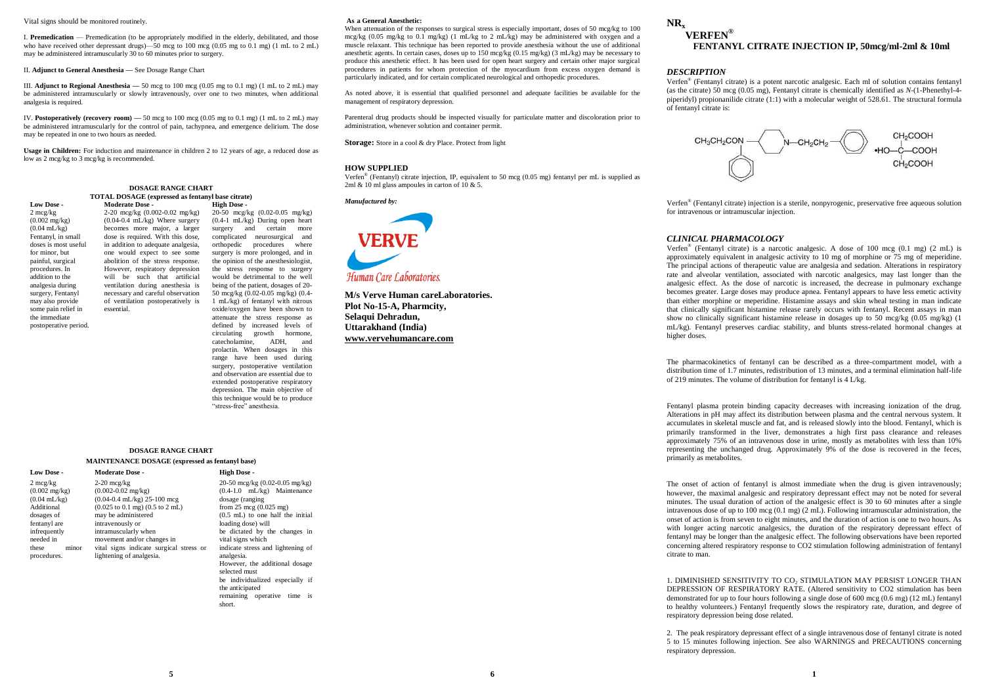#### Vital signs should be monitored routinely.

I. **Premedication** — Premedication (to be appropriately modified in the elderly, debilitated, and those who have received other depressant drugs)—50 mcg to 100 mcg (0.05 mg to 0.1 mg) (1 mL to 2 mL) may be administered intramuscularly 30 to 60 minutes prior to surgery.

II. **Adjunct to General Anesthesia —** See Dosage Range Chart

essential.

III. **Adjunct to Regional Anesthesia —** 50 mcg to 100 mcg (0.05 mg to 0.1 mg) (1 mL to 2 mL) may be administered intramuscularly or slowly intravenously, over one to two minutes, when additional analgesia is required.

IV. **Postoperatively (recovery room) —** 50 mcg to 100 mcg (0.05 mg to 0.1 mg) (1 mL to 2 mL) may be administered intramuscularly for the control of pain, tachypnea, and emergence delirium. The dose may be repeated in one to two hours as needed.

**Usage in Children:** For induction and maintenance in children 2 to 12 years of age, a reduced dose as low as 2 mcg/kg to 3 mcg/kg is recommended.

#### **DOSAGE RANGE CHART TOTAL DOSAGE (expressed as fentanyl base citrate) Moderate Dose - High Dose -**

**Low Dose -** 2 mcg/kg  $(0.002 \text{ mg/kg})$  $(0.04 \text{ mL/kg})$ Fentanyl, in small doses is most useful for minor, but painful, surgical procedures. In addition to the analgesia during surgery, Fentanyl may also provide some pain relief in the immediate postoperative period.

2-20 mcg/kg (0.002-0.02 mg/kg)  $(0.04-0.4 \text{ mL/kg})$  Where surgery becomes more major, a larger dose is required. With this dose, in addition to adequate analgesia, one would expect to see some abolition of the stress response. However, respiratory depression will be such that artificial ventilation during anesthesia is necessary and careful observation of ventilation postoperatively is 20-50 mcg/kg (0.02-0.05 mg/kg) (0.4-1 mL/kg) During open heart surgery and certain more complicated neurosurgical and orthopedic procedures where surgery is more prolonged, and in the opinion of the anesthesiologist, the stress response to surgery would be detrimental to the well being of the patient, dosages of 20- 50 mcg/kg (0.02-0.05 mg/kg) (0.4- 1 mL/kg) of fentanyl with nitrous oxide/oxygen have been shown to attenuate the stress response as defined by increased levels of circulating growth hormone, catecholamine, ADH, and prolactin. When dosages in this range have been used during surgery, postoperative ventilation and observation are essential due to

## **DOSAGE RANGE CHART**

#### **MAINTENANCE DOSAGE (expressed as fentanyl base)**

2 mcg/kg  $(0.002 \text{ mg/kg})$  $(0.04 \text{ mL/kg})$ Additional dosages of fentanyl are infrequently needed in these minor procedures. 2-20 mcg/kg  $(0.002 - 0.02 \text{ m}g/\text{kg})$ (0.04-0.4 mL/kg) 25-100 mcg (0.025 to 0.1 mg) (0.5 to 2 mL) may be administered intravenously or intramuscularly when movement and/or changes in lightening of analgesia.

#### **Low Dose - Moderate Dose - High Dose**  vital signs indicate surgical stress or 20-50 mcg/kg (0.02-0.05 mg/kg) (0.4-1.0 mL/kg) Maintenance dosage (ranging from  $25 \text{ mcg}$  (0.025 mg) (0.5 mL) to one half the initial loading dose) will be dictated by the changes in vital signs which indicate stress and lightening of analgesia. However, the additional dosage selected must be individualized especially if the anticipated

extended postoperative respiratory depression. The main objective of this technique would be to produce "stress-free" anesthesia.

remaining operative time is short.

#### **As s a General Anesthetic:**

When attenuation of the responses to surgical stress is especially important, doses of 50 mcg/kg to 100 mcg/kg (0.05 mg/kg to 0.1 mg/kg) (1 mL/kg to 2 mL/kg) may be administered with oxygen and a muscle relaxant. This technique has been reported to provide anesthesia without the use of additional anesthetic agents. In certain cases, doses up to 150 mcg/kg (0.15 mg/kg) (3 mL/kg) may be necessary to produce this anesthetic effect. It has been used for open heart surgery and certain other major surgical procedures in patients for whom protection of the myocardium from excess oxygen demand is particularly indicated, and for certain complicated neurological and orthopedic procedures.

As noted above, it is essential that qualified personnel and adequate facilities be available for the management of respiratory depression.

Parenteral drug products should be inspected visually for particulate matter and discoloration prior to administration, whenever solution and container permit.

**Storage:** Store in a cool & dry Place. Protect from light

#### **HOW SUPPLIED**

Verfen® (Fentanyl) citrate injection, IP, equivalent to 50 mcg (0.05 mg) fentanyl per mL is supplied as 2ml & 10 ml glass ampoules in carton of  $10 \& 5$ .

*Manufactured by:*



**M/s Verve Human careLaboratories. Plot No-15-A, Pharmcity, Selaqui Dehradun, Uttarakhand (India) www.vervehumancare.com**

# **NR<sup>x</sup>**

# **VERFEN® FENTANYL CITRATE INJECTION IP, 50mcg/ml-2ml & 10ml**

#### *DESCRIPTION*

Verfen® (Fentanyl citrate) is a potent narcotic analgesic. Each ml of solution contains fentanyl (as the citrate) 50 mcg (0.05 mg), Fentanyl citrate is chemically identified as *N*-(1-Phenethyl-4 piperidyl) propionanilide citrate (1:1) with a molecular weight of 528.61. The structural formula of fentanyl citrate is:



Verfen® (Fentanyl citrate) injection is a sterile, nonpyrogenic, preservative free aqueous solution for intravenous or intramuscular injection.

#### *CLINICAL PHARMACOLOGY*

Verfen® (Fentanyl citrate) is a narcotic analgesic. A dose of 100 mcg (0.1 mg) (2 mL) is approximately equivalent in analgesic activity to 10 mg of morphine or 75 mg of meperidine. The principal actions of therapeutic value are analgesia and sedation. Alterations in respiratory rate and alveolar ventilation, associated with narcotic analgesics, may last longer than the analgesic effect. As the dose of narcotic is increased, the decrease in pulmonary exchange becomes greater. Large doses may produce apnea. Fentanyl appears to have less emetic activity than either morphine or meperidine. Histamine assays and skin wheal testing in man indicate that clinically significant histamine release rarely occurs with fentanyl. Recent assays in man show no clinically significant histamine release in dosages up to 50 mcg/kg  $(0.05 \text{ mg/kg})$  (1) mL/kg). Fentanyl preserves cardiac stability, and blunts stress-related hormonal changes at higher doses.

The pharmacokinetics of fentanyl can be described as a three-compartment model, with a distribution time of 1.7 minutes, redistribution of 13 minutes, and a terminal elimination half-life of 219 minutes. The volume of distribution for fentanyl is 4 L/kg.

Fentanyl plasma protein binding capacity decreases with increasing ionization of the drug. Alterations in pH may affect its distribution between plasma and the central nervous system. It accumulates in skeletal muscle and fat, and is released slowly into the blood. Fentanyl, which is primarily transformed in the liver, demonstrates a high first pass clearance and releases approximately 75% of an intravenous dose in urine, mostly as metabolites with less than 10% representing the unchanged drug. Approximately 9% of the dose is recovered in the feces, primarily as metabolites.

The onset of action of fentanyl is almost immediate when the drug is given intravenously; however, the maximal analgesic and respiratory depressant effect may not be noted for several minutes. The usual duration of action of the analgesic effect is 30 to 60 minutes after a single intravenous dose of up to  $100 \text{ mg}$  (0.1 mg) (2 mL). Following intramuscular administration, the onset of action is from seven to eight minutes, and the duration of action is one to two hours. As with longer acting narcotic analgesics, the duration of the respiratory depressant effect of fentanyl may be longer than the analgesic effect. The following observations have been reported concerning altered respiratory response to CO2 stimulation following administration of fentanyl citrate to man.

1. DIMINISHED SENSITIVITY TO CO<sub>2</sub> STIMULATION MAY PERSIST LONGER THAN DEPRESSION OF RESPIRATORY RATE. (Altered sensitivity to CO2 stimulation has been demonstrated for up to four hours following a single dose of 600 mcg (0.6 mg) (12 mL) fentanyl to healthy volunteers.) Fentanyl frequently slows the respiratory rate, duration, and degree of respiratory depression being dose related.

2. The peak respiratory depressant effect of a single intravenous dose of fentanyl citrate is noted 5 to 15 minutes following injection. See also WARNINGS and PRECAUTIONS concerning respiratory depression.